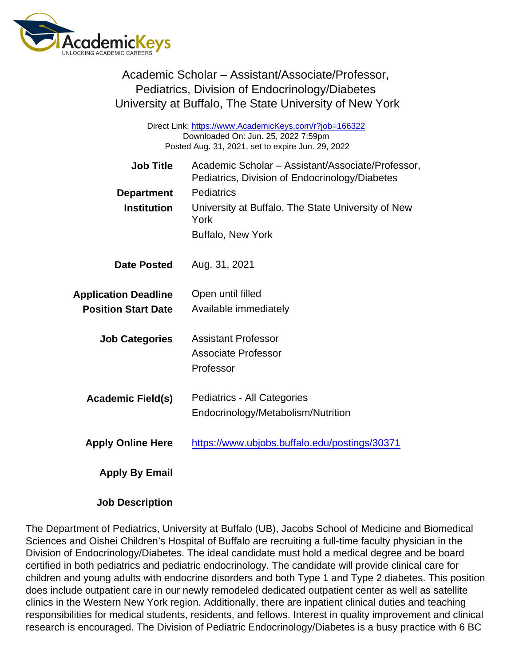| Academic Scholar - Assistant/Associate/Professor,       |
|---------------------------------------------------------|
| Pediatrics, Division of Endocrinology/Diabetes          |
| University at Buffalo, The State University of New York |

Direct Link: <https://www.AcademicKeys.com/r?job=166322> Downloaded On: Jun. 25, 2022 7:59pm Posted Aug. 31, 2021, set to expire Jun. 29, 2022

| Job Title                   | Academic Scholar - Assistant/Associate/Professor,          |
|-----------------------------|------------------------------------------------------------|
|                             | Pediatrics, Division of Endocrinology/Diabetes             |
| Department                  | Pediatrics                                                 |
| Institution                 | University at Buffalo, The State University of New<br>York |
|                             | <b>Buffalo, New York</b>                                   |
| Date Posted                 | Aug. 31, 2021                                              |
| <b>Application Deadline</b> | Open until filled                                          |
| <b>Position Start Date</b>  | Available immediately                                      |
| <b>Job Categories</b>       | <b>Assistant Professor</b>                                 |
|                             | Associate Professor                                        |
|                             | Professor                                                  |
| Academic Field(s)           | Pediatrics - All Categories                                |
|                             | Endocrinology/Metabolism/Nutrition                         |
| <b>Apply Online Here</b>    | https://www.ubjobs.buffalo.edu/postings/30371              |
| Apply By Email              |                                                            |

Job Description

The Department of Pediatrics, University at Buffalo (UB), Jacobs School of Medicine and Biomedical Sciences and Oishei Children's Hospital of Buffalo are recruiting a full-time faculty physician in the Division of Endocrinology/Diabetes. The ideal candidate must hold a medical degree and be board certified in both pediatrics and pediatric endocrinology. The candidate will provide clinical care for children and young adults with endocrine disorders and both Type 1 and Type 2 diabetes. This position does include outpatient care in our newly remodeled dedicated outpatient center as well as satellite clinics in the Western New York region. Additionally, there are inpatient clinical duties and teaching responsibilities for medical students, residents, and fellows. Interest in quality improvement and clinical research is encouraged. The Division of Pediatric Endocrinology/Diabetes is a busy practice with 6 BC